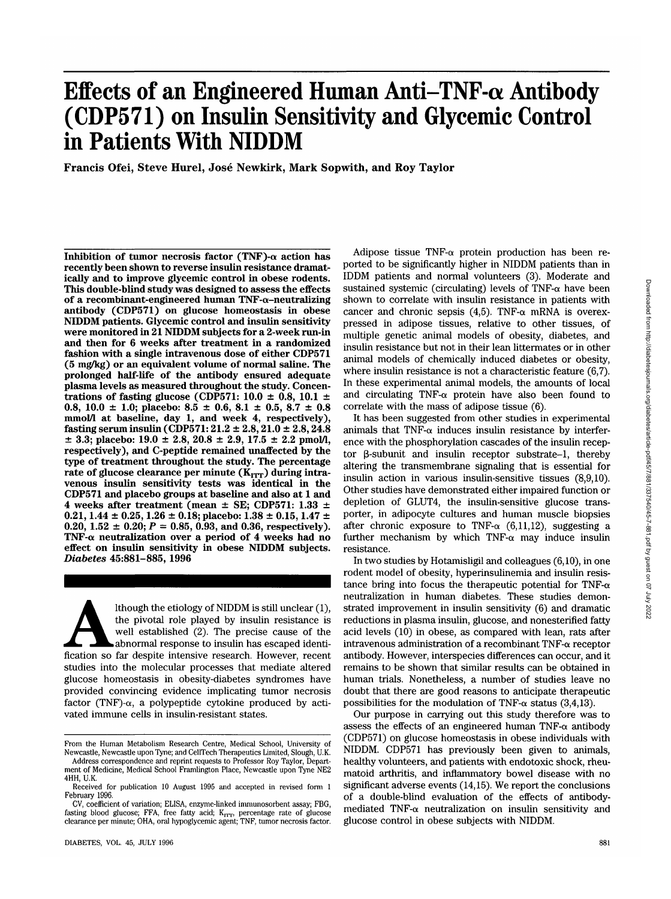# **Effects of an Engineered Human Anti-TNF-a Antibody (CDP571) on Insulin Sensitivity and Glycemic Control in Patients With NIDDM**

**Francis Ofei, Steve Hurel, Jose Newkirk, Mark Sopwith, and Roy Taylor**

**Inhibition of tumor necrosis factor (TNF)-** $\alpha$  **action has recently been shown to reverse insulin resistance dramatically and to improve glycemic control in obese rodents. This double-blind study was designed to assess the effects of a recombinant-engineered human TNF-a-neutralizing antibody (CDP571) on glucose homeostasis in obese NIDDM patients. Glycemic control and insulin sensitivity were monitored in 21 NIDDM subjects for a 2-week run-in and then for 6 weeks after treatment in a randomized fashion with a single intravenous dose of either CDP571 (5 mg/kg) or an equivalent volume of normal saline. The prolonged half-life of the antibody ensured adequate plasma levels as measured throughout the study. Concentrations of fasting glucose (CDP571: 10.0 ± 0.8, 10.1 ± 0.8, 10.0 ± 1.0; placebo: 8.5 ± 0.6, 8.1 ± 0.5, 8.7 ± 0.8 mmol/1 at baseline, day 1, and week 4, respectively), fasting serum insulin (CDP571:21.2 ± 2.8,21.0 ± 2.8,24.8 ± 3.3; placebo: 19.0 ± 2.8, 20.8 ± 2.9, 17.5 ± 2.2 pmol/1, respectively), and C-peptide remained unaffected by the type of treatment throughout the study. The percentage** rate of glucose clearance per minute (K<sub>ITT</sub>) during intra**venous insulin sensitivity tests was identical in the CDP571 and placebo groups at baseline and also at 1 and 4 weeks after treatment (mean ± SE; CDP571: 1.33 ± 0.21,1.44 ± 0.25,1.26 ± 0.18; placebo: 1.38 ± 0.15,1.47 ±**  $0.20, 1.52 \pm 0.20; P = 0.85, 0.93, \text{ and } 0.36, \text{ respectively}.$ **TNF-a neutralization over a period of 4 weeks had no effect on insulin sensitivity in obese NIDDM subjects.** *Diabetes* **45:881-885, 1996**

Ithough the etiology of NIDDM is still unclear (1),<br>the pivotal role played by insulin resistance is<br>well established (2). The precise cause of the<br>abnormal response to insulin has escaped identi-<br>fication so far despite i the pivotal role played by insulin resistance is well established (2). The precise cause of the abnormal response to insulin has escaped identistudies into the molecular processes that mediate altered glucose homeostasis in obesity-diabetes syndromes have provided convincing evidence implicating tumor necrosis factor (TNF)- $\alpha$ , a polypeptide cytokine produced by activated immune cells in insulin-resistant states.

Adipose tissue TNF- $\alpha$  protein production has been reported to be significantly higher in NIDDM patients than in IDDM patients and normal volunteers (3). Moderate and sustained systemic (circulating) levels of  $TNF-\alpha$  have been shown to correlate with insulin resistance in patients with cancer and chronic sepsis  $(4,5)$ . TNF- $\alpha$  mRNA is overexpressed in adipose tissues, relative to other tissues, of multiple genetic animal models of obesity, diabetes, and insulin resistance but not in their lean littermates or in other animal models of chemically induced diabetes or obesity, where insulin resistance is not a characteristic feature (6,7). In these experimental animal models, the amounts of local and circulating TNF- $\alpha$  protein have also been found to correlate with the mass of adipose tissue (6).

It has been suggested from other studies in experimental animals that TNF- $\alpha$  induces insulin resistance by interference with the phosphorylation cascades of the insulin receptor  $\beta$ -subunit and insulin receptor substrate-1, thereby altering the transmembrane signaling that is essential for insulin action in various insulin-sensitive tissues (8,9,10). Other studies have demonstrated either impaired function or depletion of GLUT4, the insulin-sensitive glucose transporter, in adipocyte cultures and human muscle biopsies after chronic exposure to TNF- $\alpha$  (6,11,12), suggesting a further mechanism by which TNF- $\alpha$  may induce insulin resistance.

In two studies by Hotamisligil and colleagues (6,10), in one rodent model of obesity, hyperinsulinemia and insulin resistance bring into focus the therapeutic potential for TNF- $\alpha$ neutralization in human diabetes. These studies demonstrated improvement in insulin sensitivity (6) and dramatic reductions in plasma insulin, glucose, and nonesterified fatty acid levels (10) in obese, as compared with lean, rats after intravenous administration of a recombinant TNF-a receptor antibody. However, interspecies differences can occur, and it remains to be shown that similar results can be obtained in human trials. Nonetheless, a number of studies leave no doubt that there are good reasons to anticipate therapeutic possibilities for the modulation of TNF- $\alpha$  status (3,4,13).

Our purpose in carrying out this study therefore was to assess the effects of an engineered human TNF- $\alpha$  antibody (CDP571) on glucose homeostasis in obese individuals with NIDDM. CDP571 has previously been given to animals, healthy volunteers, and patients with endotoxic shock, rheumatoid arthritis, and inflammatory bowel disease with no significant adverse events (14,15). We report the conclusions of a double-blind evaluation of the effects of antibodymediated TNF- $\alpha$  neutralization on insulin sensitivity and glucose control in obese subjects with NIDDM.

From the Human Metabolism Research Centre, Medical School, University of Newcastle, Newcastle upon Tyne; and CellTech Therapeutics Limited, Slough, U.K.

Address correspondence and reprint requests to Professor Roy Taylor, Department of Medicine, Medical School Framlington Place, Newcastle upon Tyne NE2 4HH, U.K.

Received for publication 10 August 1995 and accepted in revised form 1 February 1996.

CV, coefficient of variation; ELISA, enzyme-linked immunosorbent assay; FBG, fasting blood glucose; FFA, free fatty acid; K<sub>ITT</sub>, percentage rate of glucose<br>clearance per minute; OHA, oral hypoglycemic agent; TNF, tumor necrosis factor.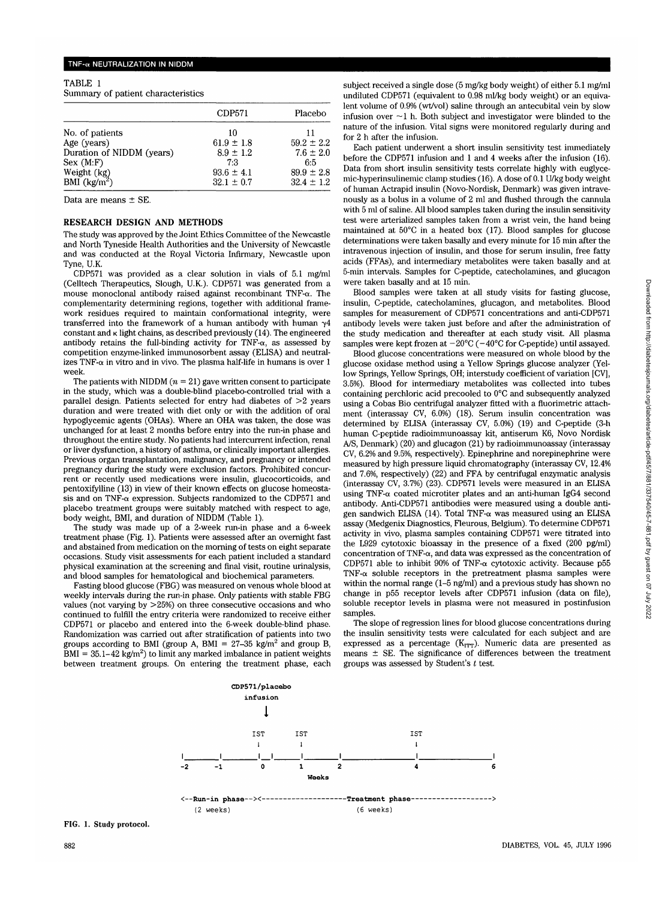| TABLE 1                            |  |
|------------------------------------|--|
| Summary of patient characteristics |  |

|                                 | CDP571         | Placebo        |  |  |
|---------------------------------|----------------|----------------|--|--|
| No. of patients                 | 10             | 11             |  |  |
| Age (years)                     | $61.9 \pm 1.8$ | $59.2 \pm 2.2$ |  |  |
| Duration of NIDDM (years)       | $8.9 \pm 1.2$  | $7.6 \pm 2.0$  |  |  |
| Sex (M: F)                      | 7.3            | 6:5            |  |  |
|                                 | $93.6 \pm 4.1$ | $89.9 \pm 2.8$ |  |  |
| Weight $(kg)$<br>BMI $(kg/m^2)$ | $32.1 \pm 0.7$ | $32.4 \pm 1.2$ |  |  |

Data are means ± SE.

## **RESEARCH DESIGN AND METHODS**

The study was approved by the Joint Ethics Committee of the Newcastle and North Tyneside Health Authorities and the University of Newcastle and was conducted at the Royal Victoria Infirmary, Newcastle upon Tyne, U.K.

CDP571 was provided as a clear solution in vials of 5.1 mg/ml (Celltech Therapeutics, Slough, U.K.). CDP571 was generated from a mouse monoclonal antibody raised against recombinant TNF-a. The complementarity determining regions, together with additional framework residues required to maintain conformational integrity, were transferred into the framework of a human antibody with human  $\gamma$ 4 constant and  $\kappa$  light chains, as described previously (14). The engineered antibody retains the full-binding activity for TNF- $\alpha$ , as assessed by competition enzyme-linked immunosorbent assay (ELISA) and neutralizes  $TNF-\alpha$  in vitro and in vivo. The plasma half-life in humans is over 1 week.

The patients with NIDDM  $(n = 21)$  gave written consent to participate in the study, which was a double-blind placebo-controlled trial with a parallel design. Patients selected for entry had diabetes of  $>2$  years duration and were treated with diet only or with the addition of oral hypoglycemic agents (OHAs). Where an OHA was taken, the dose was unchanged for at least 2 months before entry into the run-in phase and throughout the entire study. No patients had intercurrent infection, renal or liver dysfunction, a history of asthma, or clinically important allergies. Previous organ transplantation, malignancy, and pregnancy or intended pregnancy during the study were exclusion factors. Prohibited concurrent or recently used medications were insulin, glucocorticoids, and pentoxifylline (13) in view of their known effects on glucose homeostasis and on TNF- $\alpha$  expression. Subjects randomized to the CDP571 and placebo treatment groups were suitably matched with respect to age, body weight, BMI, and duration of NIDDM (Table 1).

The study was made up of a 2-week run-in phase and a 6-week treatment phase (Fig. 1). Patients were assessed after an overnight fast and abstained from medication on the morning of tests on eight separate occasions. Study visit assessments for each patient included a standard physical examination at the screening and final visit, routine urinalysis, and blood samples for hematological and biochemical parameters.

Fasting blood glucose (FBG) was measured on venous whole blood at weekly intervals during the run-in phase. Only patients with stable FBG values (not varying by >25%) on three consecutive occasions and who continued to fulfill the entry criteria were randomized to receive either CDP571 or placebo and entered into the 6-week double-blind phase. Randomization was carried out after stratification of patients into two groups according to BMI (group A, BMI =  $27-35$  kg/m<sup>2</sup> and group B,  $\text{BMI} = 35.1 - 42 \text{ kg/m}^2$ ) to limit any marked imbalance in patient weights between treatment groups. On entering the treatment phase, each subject received a single dose (5 mg/kg body weight) of either 5.1 mg/ml undiluted CDP571 (equivalent to 0.98 ml/kg body weight) or an equivalent volume of 0.9% (wt/vol) saline through an antecubital vein by slow infusion over  $\sim$ 1 h. Both subject and investigator were blinded to the nature of the infusion. Vital signs were monitored regularly during and for 2 h after the infusion.

Each patient underwent a short insulin sensitivity test immediately before the CDP571 infusion and 1 and 4 weeks after the infusion (16). Data from short insulin sensitivity tests correlate highly with euglycemic-hyperinsulinemic clamp studies (16). A dose of 0.1 U/kg body weight of human Actrapid insulin (Novo-Nordisk, Denmark) was given intravenously as a bolus in a volume of 2 ml and flushed through the cannula with 5 ml of saline. All blood samples taken during the insulin sensitivity test were arterialized samples taken from a wrist vein, the hand being maintained at 50°C in a heated box (17). Blood samples for glucose determinations were taken basally and every minute for 15 min after the intravenous injection of insulin, and those for serum insulin, free fatty acids (FFAs), and intermediary metabolites were taken basally and at 5-min intervals. Samples for C-peptide, catecholamines, and glucagon were taken basally and at 15 min.

Blood samples were taken at all study visits for fasting glucose, insulin, C-peptide, catecholamines, glucagon, and metabolites. Blood samples for measurement of CDP571 concentrations and anti-CDP571 antibody levels were taken just before and after the administration of the study medication and thereafter at each study visit. All plasma samples were kept frozen at  $-20^{\circ}$ C ( $-40^{\circ}$ C for C-peptide) until assayed.

Blood glucose concentrations were measured on whole blood by the glucose oxidase method using a Yellow Springs glucose analyzer (Yellow Springs, Yellow Springs, OH; interstudy coefficient of variation [CV], 3.5%). Blood for intermediary metabolites was collected into tubes containing perchloric acid precooled to 0°C and subsequently analyzed using a Cobas Bio centrifugal analyzer fitted with a fluorimetric attachment (interassay CV, 6.0%) (18). Serum insulin concentration was determined by ELISA (interassay CV, 5.0%) (19) and C-peptide (3-h human C-peptide radioimmunoassay kit, antiserum K6, Novo Nordisk A/S, Denmark) (20) and glucagon (21) by radioimmunoassay (interassay CV, 6.2% and 9.5%, respectively). Epinephrine and norepinephrine were measured by high pressure liquid chromatography (interassay CV, 12.4% and 7.6%, respectively) (22) and FFA by centrifugal enzymatic analysis (interassay CV, 3.7%) (23). CDP571 levels were measured in an ELISA using TNF- $\alpha$  coated microtiter plates and an anti-human IgG4 second antibody. Anti-CDP571 antibodies were measured using a double antigen sandwich ELISA (14). Total TNF- $\alpha$  was measured using an ELISA assay (Medgenix Diagnostics, Fleurous, Belgium). To determine CDP571 activity in vivo, plasma samples containing CDP571 were titrated into the L929 cytotoxic bioassay in the presence of a fixed (200 pg/ml) concentration of TNF- $\alpha$ , and data was expressed as the concentration of CDP571 able to inhibit 90% of TNF- $\alpha$  cytotoxic activity. Because p55  $TNF-\alpha$  soluble receptors in the pretreatment plasma samples were within the normal range (1-5 ng/ml) and a previous study has shown no change in p55 receptor levels after CDP571 infusion (data on file), soluble receptor levels in plasma were not measured in postinfusion samples.

The slope of regression lines for blood glucose concentrations during the insulin sensitivity tests were calculated for each subject and are expressed as a percentage  $(K_{1TT})$ . Numeric data are presented as means  $\pm$  SE. The significance of differences between the treatment groups was assessed by Student's *t* test.

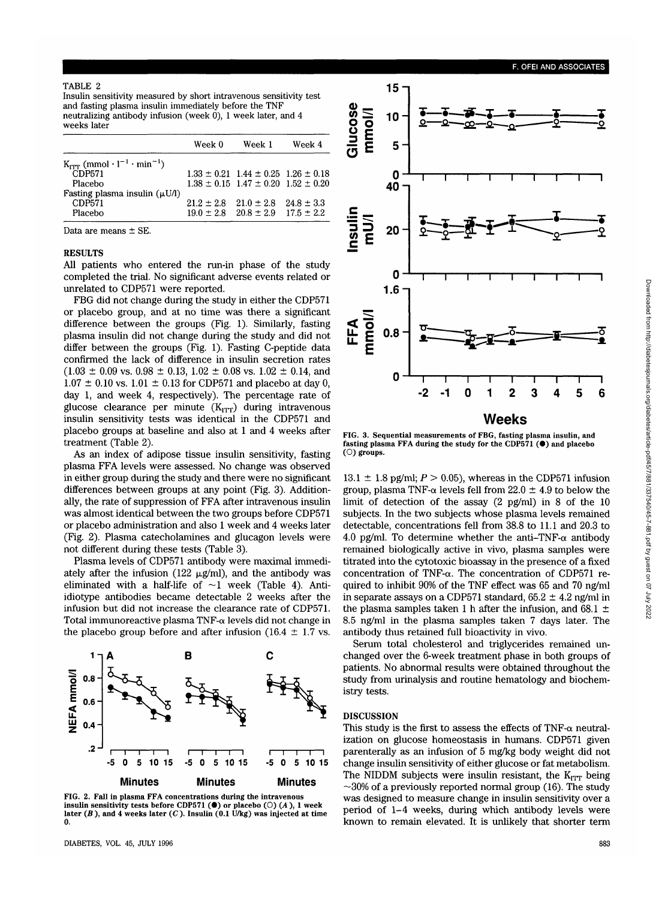## TABLE 2

Insulin sensitivity measured by short intravenous sensitivity test and fasting plasma insulin immediately before the TNF i neutralizing antibody infusion (week 0), 1 week later, and 4 weeks later

|                                                                            | Week 0         | Week 1                                          | Week 4 |  |
|----------------------------------------------------------------------------|----------------|-------------------------------------------------|--------|--|
| $K_{\text{IPT}}$ (mmol $\cdot$ l <sup>-1</sup> $\cdot$ min <sup>-1</sup> ) |                |                                                 |        |  |
| CDP571                                                                     |                | $1.33 \pm 0.21$ $1.44 \pm 0.25$ $1.26 \pm 0.18$ |        |  |
| Placebo                                                                    |                | $1.38 \pm 0.15$ $1.47 \pm 0.20$ $1.52 \pm 0.20$ |        |  |
| Fasting plasma insulin $(\mu U/I)$                                         |                |                                                 |        |  |
| CDP571                                                                     | $21.2 \pm 2.8$ | $21.0 \pm 2.8$ $24.8 \pm 3.3$                   |        |  |
| Placebo                                                                    |                | $19.0 \pm 2.8$ $20.8 \pm 2.9$ $17.5 \pm 2.2$    |        |  |

Data are means ± SE.

## RESULTS

All patients who entered the run-in phase of the study completed the trial. No significant adverse events related or unrelated to CDP571 were reported.

FBG did not change during the study in either the CDP571 or placebo group, and at no time was there a significant difference between the groups (Fig. 1). Similarly, fasting plasma insulin did not change during the study and did not differ between the groups (Fig. 1). Fasting C-peptide data confirmed the lack of difference in insulin secretion rates  $(1.03 \pm 0.09 \text{ vs. } 0.98 \pm 0.13, 1.02 \pm 0.08 \text{ vs. } 1.02 \pm 0.14, \text{ and }$  $1.07 \pm 0.10$  vs.  $1.01 \pm 0.13$  for CDP571 and placebo at day 0, day 1, and week 4, respectively). The percentage rate of glucose clearance per minute  $(K<sub>ITT</sub>)$  during intravenous insulin sensitivity tests was identical in the CDP571 and placebo groups at baseline and also at 1 and 4 weeks after treatment (Table 2).

As an index of adipose tissue insulin sensitivity, fasting plasma FFA levels were assessed. No change was observed in either group during the study and there were no significant differences between groups at any point (Fig. 3). Additionally, the rate of suppression of FFA after intravenous insulin was almost identical between the two groups before CDP571 or placebo administration and also 1 week and 4 weeks later (Fig. 2). Plasma catecholamines and glucagon levels were not different during these tests (Table 3).

Plasma levels of CDP571 antibody were maximal immediately after the infusion (122  $\mu$ g/ml), and the antibody was eliminated with a half-life of  $\sim$ 1 week (Table 4). Antiidiotype antibodies became detectable 2 weeks after the infusion but did not increase the clearance rate of CDP571. Total immunoreactive plasma TNF- $\alpha$  levels did not change in the placebo group before and after infusion (16.4  $\pm$  1.7 vs.



FIG. 2. Fall in plasma FFA concentrations during the intravenous insulin sensitivity tests before CDP571 ( $\bullet$ ) or placebo ( $\circ$ ) (A), 1 week later  $(B)$ , and 4 weeks later  $(C)$ . Insulin  $(0.1 \text{ U/kg})$  was injected at time



FIG. 3. Sequential measurements of FBG, fasting plasma insulin, and fasting plasma FFA during the study for the CDP571  $(①)$  and placebo  $(①)$  groups.

 $13.1 \pm 1.8$  pg/ml;  $P > 0.05$ ), whereas in the CDP571 infusion group, plasma TNF- $\alpha$  levels fell from 22.0  $\pm$  4.9 to below the limit of detection of the assay (2 pg/ml) in 8 of the 10 subjects. In the two subjects whose plasma levels remained detectable, concentrations fell from 38.8 to 11.1 and 20.3 to 4.0 pg/ml. To determine whether the anti-TNF- $\alpha$  antibody remained biologically active in vivo, plasma samples were titrated into the cytotoxic bioassay in the presence of a fixed concentration of TNF-a. The concentration of CDP571 required to inhibit 90% of the TNF effect was 65 and 70 ng/ml in separate assays on a CDP571 standard,  $65.2 \pm 4.2$  ng/ml in the plasma samples taken 1 h after the infusion, and 68.1  $\pm$ 8.5 ng/ml in the plasma samples taken 7 days later. The antibody thus retained full bioactivity in vivo.

Serum total cholesterol and triglycerides remained unchanged over the 6-week treatment phase in both groups of patients. No abnormal results were obtained throughout the study from urinalysis and routine hematology and biochemistry tests.

# DISCUSSION

This study is the first to assess the effects of TNF- $\alpha$  neutralization on glucose homeostasis in humans. CDP571 given parenterally as an infusion of 5 mg/kg body weight did not change insulin sensitivity of either glucose or fat metabolism. The NIDDM subjects were insulin resistant, the  $K_{ITT}$  being  $\sim$ 30% of a previously reported normal group (16). The study was designed to measure change in insulin sensitivity over a period of 1-4 weeks, during which antibody levels were known to remain elevated. It is unlikely that shorter term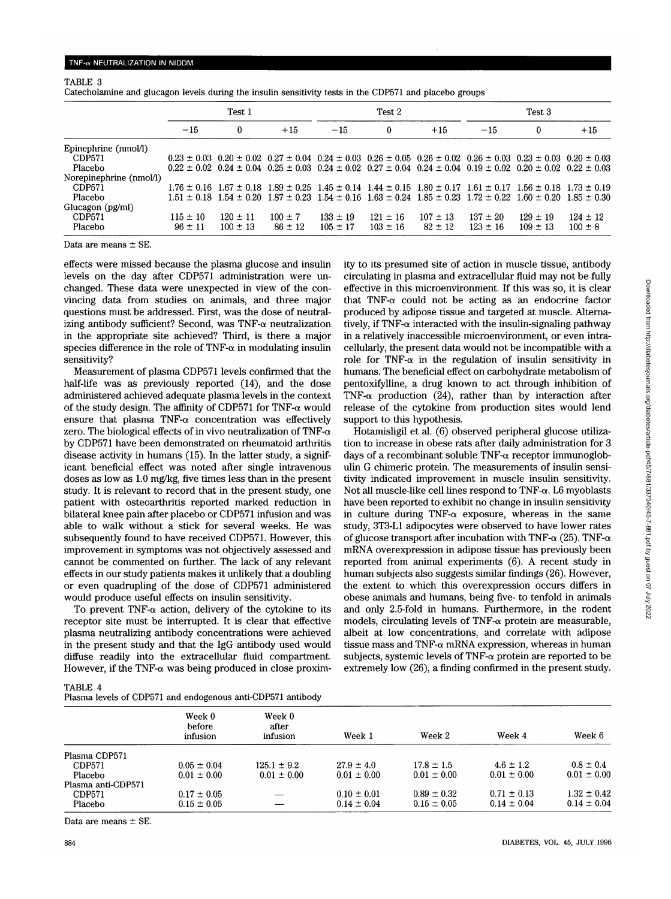## TNF-w NEUTRALIZATION IN NIDDM

## TABLE 3

Catecholamine and glucagon levels during the insulin sensitivity tests in the CDP571 and placebo groups

|                         | Test 1       |                                                                                                                                                 |             | Test 2       |              |              | Test 3       |              |              |
|-------------------------|--------------|-------------------------------------------------------------------------------------------------------------------------------------------------|-------------|--------------|--------------|--------------|--------------|--------------|--------------|
|                         | $-15$        | 0                                                                                                                                               | $+15$       | $-15$        | $\bf{0}$     | $+15$        | $-15$        | $\mathbf{0}$ | $+15$        |
| Epinephrine (nmol/l)    |              |                                                                                                                                                 |             |              |              |              |              |              |              |
| CDP571                  |              | $0.23 \pm 0.03$ $0.20 \pm 0.02$ $0.27 \pm 0.04$ $0.24 \pm 0.03$ $0.26 \pm 0.05$ $0.26 \pm 0.02$ $0.26 \pm 0.03$ $0.23 \pm 0.03$ $0.20 \pm 0.03$ |             |              |              |              |              |              |              |
| Placebo                 |              | $0.22 \pm 0.02$ $0.24 \pm 0.04$ $0.25 \pm 0.03$ $0.24 \pm 0.02$ $0.27 \pm 0.04$ $0.24 \pm 0.04$ $0.19 \pm 0.02$ $0.20 \pm 0.02$ $0.22 \pm 0.03$ |             |              |              |              |              |              |              |
| Norepinephrine (nmol/l) |              |                                                                                                                                                 |             |              |              |              |              |              |              |
| CDP571                  |              | $1.76 \pm 0.16$ $1.67 \pm 0.18$ $1.89 \pm 0.25$ $1.45 \pm 0.14$ $1.44 \pm 0.15$ $1.80 \pm 0.17$ $1.61 \pm 0.17$ $1.56 \pm 0.18$ $1.73 \pm 0.19$ |             |              |              |              |              |              |              |
| Placebo                 |              | $1.51 \pm 0.18$ $1.54 \pm 0.20$ $1.87 \pm 0.23$ $1.54 \pm 0.16$ $1.63 \pm 0.24$ $1.85 \pm 0.23$ $1.72 \pm 0.22$ $1.60 \pm 0.20$ $1.85 \pm 0.30$ |             |              |              |              |              |              |              |
| Glucagon (pg/ml)        |              |                                                                                                                                                 |             |              |              |              |              |              |              |
| CDP571                  | $115 \pm 10$ | $120 \pm 11$                                                                                                                                    | $100 \pm 7$ | $133 \pm 19$ | $121 \pm 16$ | $107 \pm 13$ | $137 \pm 20$ | $129 \pm 19$ | $124 \pm 12$ |
| Placebo                 | $96 \pm 11$  | $100 \pm 13$                                                                                                                                    | $86 \pm 12$ | $105 \pm 17$ | $103 \pm 16$ | $82 \pm 12$  | $123 \pm 16$ | $109 \pm 13$ | $100 \pm 8$  |

Data are means ± SE.

effects were missed because the plasma glucose and insulin levels on the day after CDP571 administration were unchanged. These data were unexpected in view of the convincing data from studies on animals, and three major questions must be addressed. First, was the dose of neutralizing antibody sufficient? Second, was  $TNF-\alpha$  neutralization in the appropriate site achieved? Third, is there a major species difference in the role of TNF- $\alpha$  in modulating insulin sensitivity?

Measurement of plasma CDP571 levels confirmed that the half-life was as previously reported (14), and the dose administered achieved adequate plasma levels in the context of the study design. The affinity of CDP571 for TNF- $\alpha$  would ensure that plasma TNF- $\alpha$  concentration was effectively zero. The biological effects of in vivo neutralization of TNF- $\alpha$ by CDP571 have been demonstrated on rheumatoid arthritis disease activity in humans (15). In the latter study, a significant beneficial effect was noted after single intravenous doses as low as 1.0 mg/kg, five times less than in the present study. It is relevant to record that in the present study, one patient with osteoarthritis reported marked reduction in bilateral knee pain after placebo or CDP571 infusion and was able to walk without a stick for several weeks. He was subsequently found to have received CDP571. However, this improvement in symptoms was not objectively assessed and cannot be commented on further. The lack of any relevant effects in our study patients makes it unlikely that a doubling or even quadrupling of the dose of CDP571 administered would produce useful effects on insulin sensitivity.

To prevent TNF- $\alpha$  action, delivery of the cytokine to its receptor site must be interrupted. It is clear that effective plasma neutralizing antibody concentrations were achieved in the present study and that the IgG antibody used would diffuse readily into the extracellular fluid compartment. However, if the TNF- $\alpha$  was being produced in close proximity to its presumed site of action in muscle tissue, antibody circulating in plasma and extracellular fluid may not be fully effective in this microenvironment. If this was so, it is clear that TNF- $\alpha$  could not be acting as an endocrine factor produced by adipose tissue and targeted at muscle. Alternatively, if  $TNF-\alpha$  interacted with the insulin-signaling pathway in a relatively inaccessible microenvironment, or even intracellularly, the present data would not be incompatible with a role for TNF- $\alpha$  in the regulation of insulin sensitivity in humans. The beneficial effect on carbohydrate metabolism of pentoxifylline, a drug known to act through inhibition of TNF- $\alpha$  production (24), rather than by interaction after release of the cytokine from production sites would lend support to this hypothesis.

Hotamisligil et al. (6) observed peripheral glucose utilization to increase in obese rats after daily administration for 3 days of a recombinant soluble  $TNF-\alpha$  receptor immunoglobulin G chimeric protein. The measurements of insulin sensitivity indicated improvement in muscle insulin sensitivity. Not all muscle-like cell lines respond to  $TNF-\alpha$ . L6 myoblasts have been reported to exhibit no change in insulin sensitivity in culture during TNF- $\alpha$  exposure, whereas in the same study, 3T3-L1 adipocytes were observed to have lower rates of glucose transport after incubation with TNF- $\alpha$  (25). TNF- $\alpha$ mRNA overexpression in adipose tissue has previously been reported from animal experiments (6). A recent study in human subjects also suggests similar findings (26). However, the extent to which this overexpression occurs differs in obese animals and humans, being five- to tenfold in animals and only 2.5-fold in humans. Furthermore, in the rodent models, circulating levels of TNF- $\alpha$  protein are measurable, albeit at low concentrations, and correlate with adipose tissue mass and TNF- $\alpha$  mRNA expression, whereas in human subjects, systemic levels of  $TNF-\alpha$  protein are reported to be extremely low (26), a finding confirmed in the present study.

| TABLE 4 |                                                             |  |  |
|---------|-------------------------------------------------------------|--|--|
|         |                                                             |  |  |
|         | Plasma levels of CDP571 and endogenous anti-CDP571 antibody |  |  |

|                    | Week 0<br>before<br>infusion | Week 0<br>after<br>infusion | Week 1          | Week 2          | Week 4          | Week 6          |
|--------------------|------------------------------|-----------------------------|-----------------|-----------------|-----------------|-----------------|
| Plasma CDP571      |                              |                             |                 |                 |                 |                 |
| CDP571             | $0.05 \pm 0.04$              | $125.1 \pm 9.2$             | $27.9 \pm 4.0$  | $17.8 \pm 1.5$  | $4.6 \pm 1.2$   | $0.8 \pm 0.4$   |
| Placebo            | $0.01 \pm 0.00$              | $0.01 \pm 0.00$             | $0.01 \pm 0.00$ | $0.01 \pm 0.00$ | $0.01 \pm 0.00$ | $0.01 \pm 0.00$ |
| Plasma anti-CDP571 |                              |                             |                 |                 |                 |                 |
| CDP571             | $0.17 \pm 0.05$              |                             | $0.10 \pm 0.01$ | $0.89 \pm 0.32$ | $0.71 \pm 0.13$ | $1.32 \pm 0.42$ |
| <b>Placebo</b>     | $0.15 \pm 0.05$              |                             | $0.14 \pm 0.04$ | $0.15 \pm 0.05$ | $0.14 \pm 0.04$ | $0.14 \pm 0.04$ |

Data are means ± SE.

Downloaded from http://diabetesjournals.org/diabetes/article-pdf/45/7/881/337540/45-7-881.pdf by guest on 07 July 2022 Downloaded from http://diabetesjournals.org/diabetes/article-pdf/45/7/881/337540/45-7-881.pdf by guest on 07 July 2022